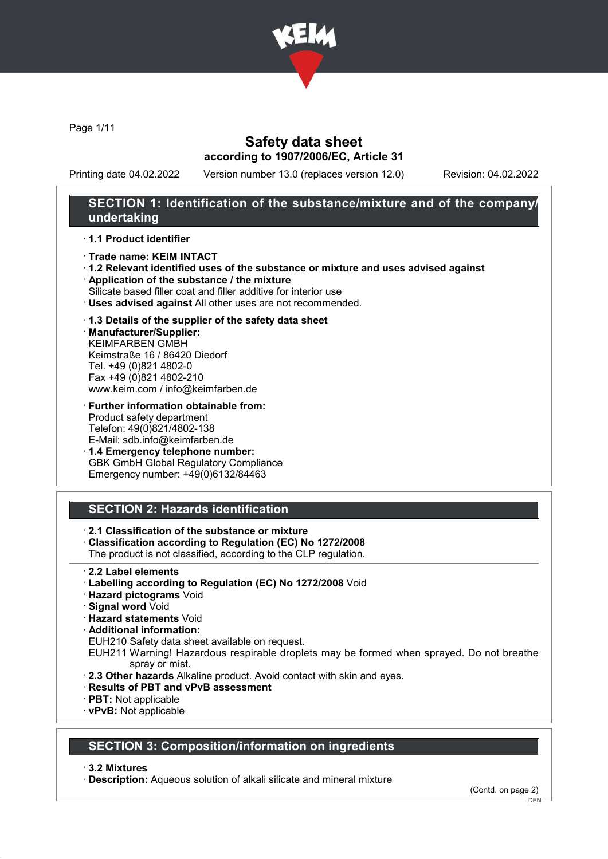

Page 1/11

## Safety data sheet according to 1907/2006/EC, Article 31

Printing date 04.02.2022 Version number 13.0 (replaces version 12.0) Revision: 04.02.2022

## SECTION 1: Identification of the substance/mixture and of the company/ undertaking

#### · 1.1 Product identifier

- · Trade name: KEIM INTACT
- · 1.2 Relevant identified uses of the substance or mixture and uses advised against
- · Application of the substance / the mixture
- Silicate based filler coat and filler additive for interior use
- · Uses advised against All other uses are not recommended.

### · 1.3 Details of the supplier of the safety data sheet

· Manufacturer/Supplier: KEIMFARBEN GMBH Keimstraße 16 / 86420 Diedorf Tel. +49 (0)821 4802-0 Fax +49 (0)821 4802-210 www.keim.com / info@keimfarben.de

· Further information obtainable from: Product safety department Telefon: 49(0)821/4802-138 E-Mail: sdb.info@keimfarben.de

· 1.4 Emergency telephone number: GBK GmbH Global Regulatory Compliance Emergency number: +49(0)6132/84463

# SECTION 2: Hazards identification

· 2.1 Classification of the substance or mixture

- · Classification according to Regulation (EC) No 1272/2008
- The product is not classified, according to the CLP regulation.
- · 2.2 Label elements
- · Labelling according to Regulation (EC) No 1272/2008 Void
- · Hazard pictograms Void
- · Signal word Void
- · Hazard statements Void
- · Additional information:
- EUH210 Safety data sheet available on request.

EUH211 Warning! Hazardous respirable droplets may be formed when sprayed. Do not breathe spray or mist.

- · 2.3 Other hazards Alkaline product. Avoid contact with skin and eyes.
- · Results of PBT and vPvB assessment
- · PBT: Not applicable
- · vPvB: Not applicable

## SECTION 3: Composition/information on ingredients

· 3.2 Mixtures

· Description: Aqueous solution of alkali silicate and mineral mixture

(Contd. on page 2)

DEN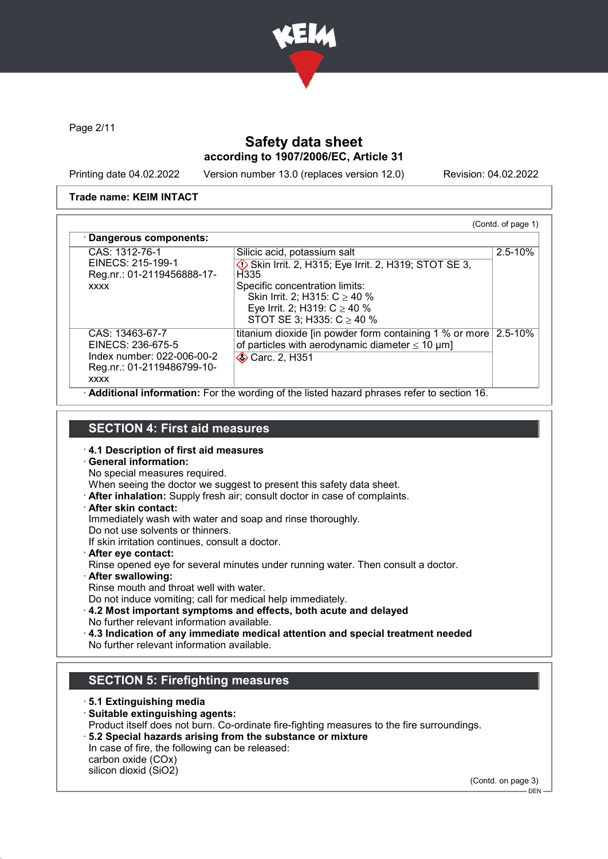

Page 2/11

# Safety data sheet according to 1907/2006/EC, Article 31

Printing date 04.02.2022 Version number 13.0 (replaces version 12.0) Revision: 04.02.2022

#### Trade name: KEIM INTACT

| CAS: 1312-76-1<br>EINECS: 215-199-1<br>Reg.nr.: 01-2119456888-17-<br><b>XXXX</b>                                | Silicic acid, potassium salt<br>Skin Irrit. 2, H315; Eye Irrit. 2, H319; STOT SE 3,<br>H335<br>Specific concentration limits:<br>Skin Irrit. 2; H315: $C \ge 40 \%$<br>Eye Irrit. 2; H319: $C \ge 40$ %<br>STOT SE 3; H335: $C \ge 40$ % | $2.5 - 10\%$ |
|-----------------------------------------------------------------------------------------------------------------|------------------------------------------------------------------------------------------------------------------------------------------------------------------------------------------------------------------------------------------|--------------|
| CAS: 13463-67-7<br>EINECS: 236-675-5<br>Index number: 022-006-00-2<br>Reg.nr.: 01-2119486799-10-<br><b>XXXX</b> | titanium dioxide [in powder form containing 1 % or more 2.5-10%<br>of particles with aerodynamic diameter $\leq 10 \mu m$ ]<br><b>◆ Carc. 2, H351</b>                                                                                    |              |

· Additional information: For the wording of the listed hazard phrases refer to section 16.

## SECTION 4: First aid measures

- · 4.1 Description of first aid measures
- · General information:
- No special measures required.
- When seeing the doctor we suggest to present this safety data sheet.
- · After inhalation: Supply fresh air; consult doctor in case of complaints.
- After skin contact:
- Immediately wash with water and soap and rinse thoroughly.
- Do not use solvents or thinners.
- If skin irritation continues, consult a doctor.
- · After eye contact: Rinse opened eye for several minutes under running water. Then consult a doctor.
- · After swallowing:

Rinse mouth and throat well with water.

Do not induce vomiting; call for medical help immediately.

- · 4.2 Most important symptoms and effects, both acute and delayed No further relevant information available.
- · 4.3 Indication of any immediate medical attention and special treatment needed No further relevant information available.

## SECTION 5: Firefighting measures

- · 5.1 Extinguishing media
- · Suitable extinguishing agents: Product itself does not burn. Co-ordinate fire-fighting measures to the fire surroundings.
- · 5.2 Special hazards arising from the substance or mixture In case of fire, the following can be released: carbon oxide (COx) silicon dioxid (SiO2)

(Contd. on page 3)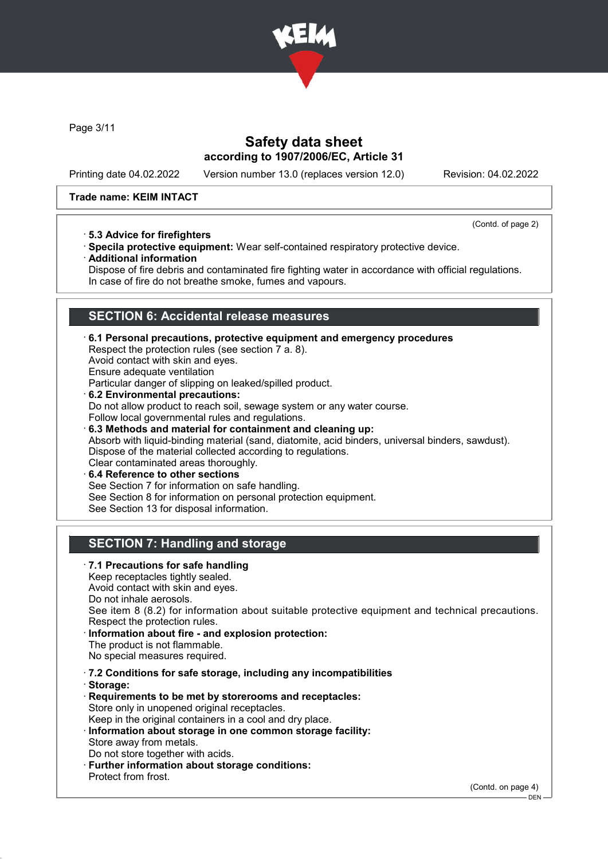

Page 3/11

## Safety data sheet according to 1907/2006/EC, Article 31

Printing date 04.02.2022 Version number 13.0 (replaces version 12.0) Revision: 04.02.2022

### Trade name: KEIM INTACT

· 5.3 Advice for firefighters

(Contd. of page 2)

- · Specila protective equipment: Wear self-contained respiratory protective device.
- · Additional information

Dispose of fire debris and contaminated fire fighting water in accordance with official regulations. In case of fire do not breathe smoke, fumes and vapours.

# SECTION 6: Accidental release measures

- · 6.1 Personal precautions, protective equipment and emergency procedures Respect the protection rules (see section 7 a. 8). Avoid contact with skin and eyes. Ensure adequate ventilation Particular danger of slipping on leaked/spilled product. 6.2 Environmental precautions: Do not allow product to reach soil, sewage system or any water course. Follow local governmental rules and regulations. · 6.3 Methods and material for containment and cleaning up: Absorb with liquid-binding material (sand, diatomite, acid binders, universal binders, sawdust). Dispose of the material collected according to regulations. Clear contaminated areas thoroughly.
- 6.4 Reference to other sections See Section 7 for information on safe handling. See Section 8 for information on personal protection equipment. See Section 13 for disposal information.

# SECTION 7: Handling and storage

· 7.1 Precautions for safe handling Keep receptacles tightly sealed. Avoid contact with skin and eyes. Do not inhale aerosols. See item 8 (8.2) for information about suitable protective equipment and technical precautions. Respect the protection rules. Information about fire - and explosion protection: The product is not flammable. No special measures required. · 7.2 Conditions for safe storage, including any incompatibilities · Storage: · Requirements to be met by storerooms and receptacles: Store only in unopened original receptacles. Keep in the original containers in a cool and dry place. · Information about storage in one common storage facility: Store away from metals. Do not store together with acids. · Further information about storage conditions: Protect from frost. (Contd. on page 4)

DEN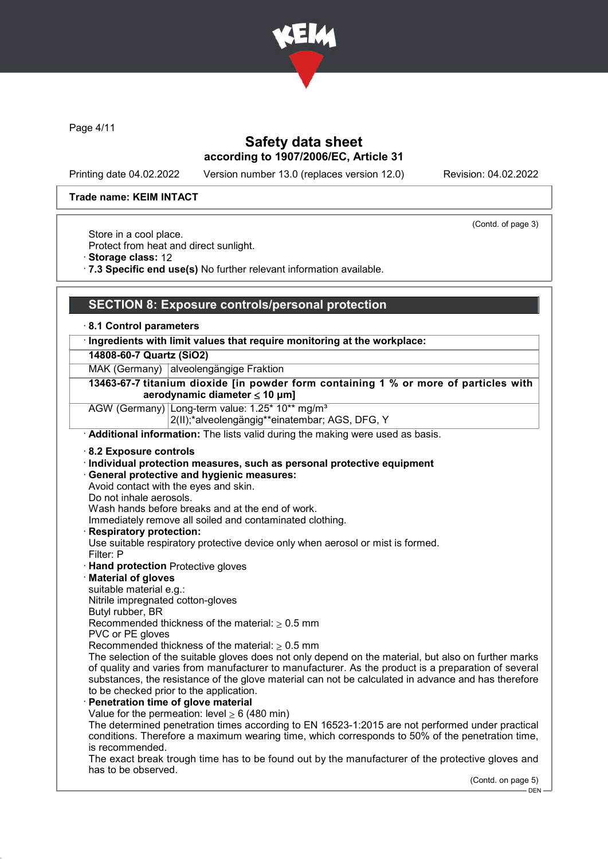

Page 4/11

## Safety data sheet according to 1907/2006/EC, Article 31

Printing date 04.02.2022 Version number 13.0 (replaces version 12.0) Revision: 04.02.2022

(Contd. of page 3)

#### Trade name: KEIM INTACT

Store in a cool place.

Protect from heat and direct sunlight.

- · Storage class: 12
- · 7.3 Specific end use(s) No further relevant information available.

### SECTION 8: Exposure controls/personal protection

#### · 8.1 Control parameters

### · Ingredients with limit values that require monitoring at the workplace:

14808-60-7 Quartz (SiO2)

MAK (Germany) alveolengängige Fraktion

#### 13463-67-7 titanium dioxide [in powder form containing 1 % or more of particles with aerodynamic diameter  $\leq 10$  µm]

AGW (Germany) Long-term value: 1.25\* 10\*\* mg/m<sup>3</sup> 2(II);\*alveolengängig\*\*einatembar; AGS, DFG, Y

· Additional information: The lists valid during the making were used as basis.

· 8.2 Exposure controls

#### · Individual protection measures, such as personal protective equipment

· General protective and hygienic measures:

Avoid contact with the eyes and skin.

Do not inhale aerosols.

Wash hands before breaks and at the end of work.

Immediately remove all soiled and contaminated clothing.

### Respiratory protection:

Use suitable respiratory protective device only when aerosol or mist is formed. Filter: P

- · Hand protection Protective gloves
- · Material of gloves

suitable material e.g.:

Nitrile impregnated cotton-gloves

Butyl rubber, BR

Recommended thickness of the material:  $\geq 0.5$  mm

PVC or PE gloves

Recommended thickness of the material:  $\geq 0.5$  mm

The selection of the suitable gloves does not only depend on the material, but also on further marks of quality and varies from manufacturer to manufacturer. As the product is a preparation of several substances, the resistance of the glove material can not be calculated in advance and has therefore to be checked prior to the application.

### Penetration time of glove material

Value for the permeation: level  $\geq 6$  (480 min)

The determined penetration times according to EN 16523-1:2015 are not performed under practical conditions. Therefore a maximum wearing time, which corresponds to 50% of the penetration time, is recommended.

The exact break trough time has to be found out by the manufacturer of the protective gloves and has to be observed.

(Contd. on page 5)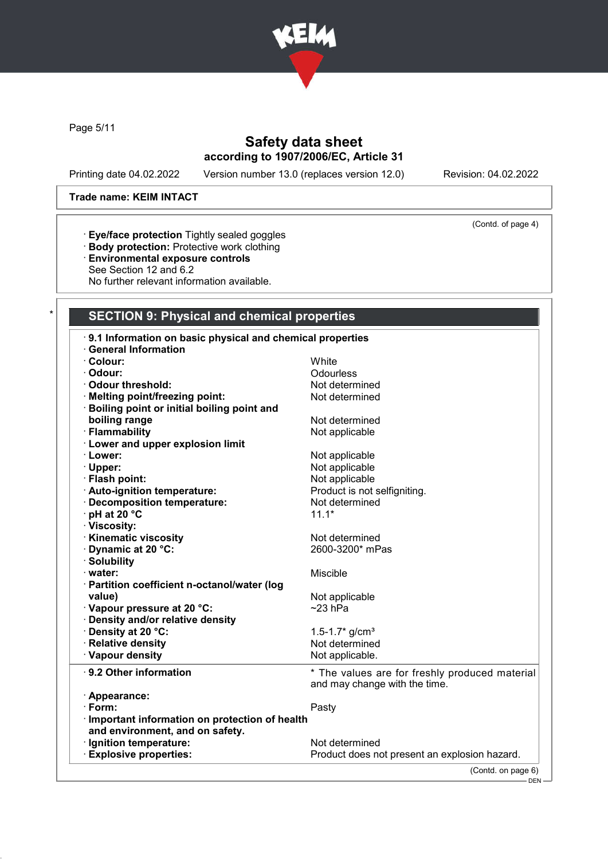

Page 5/11

# Safety data sheet according to 1907/2006/EC, Article 31

Printing date 04.02.2022 Version number 13.0 (replaces version 12.0) Revision: 04.02.2022

(Contd. of page 4)

### Trade name: KEIM INTACT

- · Eye/face protection Tightly sealed goggles
- · Body protection: Protective work clothing
- · Environmental exposure controls
- See Section 12 and 6.2

No further relevant information available.

### SECTION 9: Physical and chemical properties

| 9.1 Information on basic physical and chemical properties |                                                |  |
|-----------------------------------------------------------|------------------------------------------------|--|
| <b>General Information</b>                                |                                                |  |
| · Colour:                                                 | White                                          |  |
| Odour:                                                    | Odourless                                      |  |
| <b>Odour threshold:</b>                                   | Not determined                                 |  |
| Melting point/freezing point:                             | Not determined                                 |  |
| · Boiling point or initial boiling point and              |                                                |  |
| boiling range                                             | Not determined                                 |  |
| · Flammability                                            | Not applicable                                 |  |
| · Lower and upper explosion limit                         |                                                |  |
| · Lower:                                                  | Not applicable                                 |  |
| · Upper:                                                  | Not applicable                                 |  |
| · Flash point:                                            | Not applicable                                 |  |
| · Auto-ignition temperature:                              | Product is not selfigniting.                   |  |
| · Decomposition temperature:                              | Not determined                                 |  |
| · pH at 20 °C                                             | $11.1*$                                        |  |
| · Viscosity:                                              |                                                |  |
| <b>Kinematic viscosity</b>                                | Not determined                                 |  |
| Dynamic at 20 °C:                                         | 2600-3200* mPas                                |  |
| · Solubility                                              |                                                |  |
| · water:                                                  | Miscible                                       |  |
| · Partition coefficient n-octanol/water (log              |                                                |  |
| value)                                                    | Not applicable                                 |  |
| · Vapour pressure at 20 °C:                               | $~23$ hPa                                      |  |
| · Density and/or relative density                         |                                                |  |
| · Density at 20 °C:                                       | 1.5-1.7 $*$ g/cm <sup>3</sup>                  |  |
| · Relative density                                        | Not determined                                 |  |
| · Vapour density                                          | Not applicable.                                |  |
| · 9.2 Other information                                   | * The values are for freshly produced material |  |
|                                                           | and may change with the time.                  |  |
| · Appearance:                                             |                                                |  |
| $\cdot$ Form:                                             | Pasty                                          |  |
| Important information on protection of health             |                                                |  |
| and environment, and on safety.                           |                                                |  |
| · Ignition temperature:                                   | Not determined                                 |  |
| <b>Explosive properties:</b>                              | Product does not present an explosion hazard.  |  |
|                                                           | (Contd. on page 6)                             |  |
|                                                           | —— DEN –                                       |  |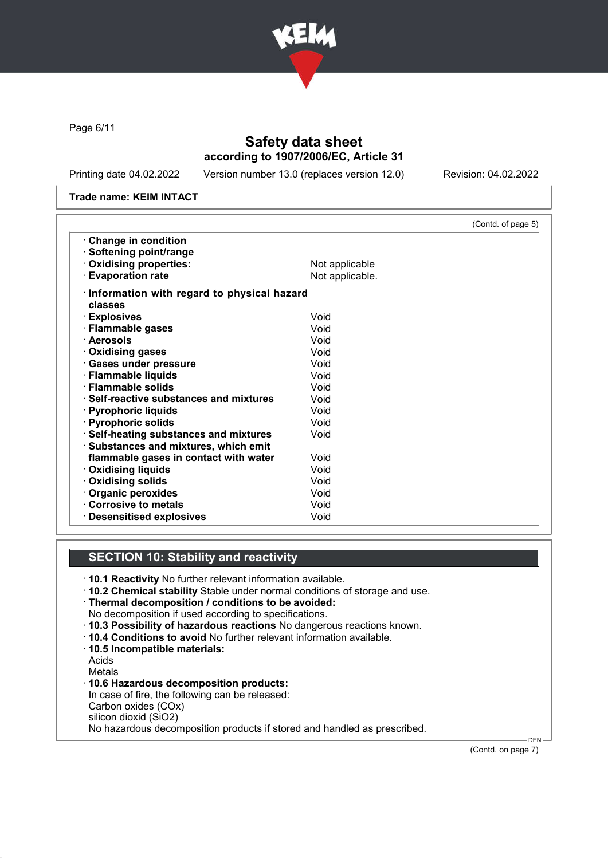

Page 6/11

## Safety data sheet according to 1907/2006/EC, Article 31

Printing date 04.02.2022 Version number 13.0 (replaces version 12.0) Revision: 04.02.2022

#### Trade name: KEIM INTACT

|                                            | (Contd. of page 5) |
|--------------------------------------------|--------------------|
| Change in condition                        |                    |
| · Softening point/range                    |                    |
| Oxidising properties:                      | Not applicable     |
| <b>Evaporation rate</b>                    | Not applicable.    |
| Information with regard to physical hazard |                    |
| classes                                    |                    |
| · Explosives                               | Void               |
| · Flammable gases                          | Void               |
| · Aerosols                                 | Void               |
| · Oxidising gases                          | Void               |
| · Gases under pressure                     | Void               |
| · Flammable liquids                        | Void               |
| · Flammable solids                         | Void               |
| · Self-reactive substances and mixtures    | Void               |
| · Pyrophoric liquids                       | Void               |
| · Pyrophoric solids                        | Void               |
| · Self-heating substances and mixtures     | Void               |
| · Substances and mixtures, which emit      |                    |
| flammable gases in contact with water      | Void               |
| <b>Oxidising liquids</b>                   | Void               |
| Oxidising solids                           | Void               |
| · Organic peroxides                        | Void               |
| Corrosive to metals                        | Void               |
| <b>Desensitised explosives</b>             | Void               |

## SECTION 10: Stability and reactivity

- · 10.1 Reactivity No further relevant information available.
- · 10.2 Chemical stability Stable under normal conditions of storage and use.

· Thermal decomposition / conditions to be avoided: No decomposition if used according to specifications.

- · 10.3 Possibility of hazardous reactions No dangerous reactions known.
- · 10.4 Conditions to avoid No further relevant information available.
- · 10.5 Incompatible materials:
- Acids
- Metals
- · 10.6 Hazardous decomposition products: In case of fire, the following can be released: Carbon oxides (COx) silicon dioxid (SiO2) No hazardous decomposition products if stored and handled as prescribed.

(Contd. on page 7)

**DEN**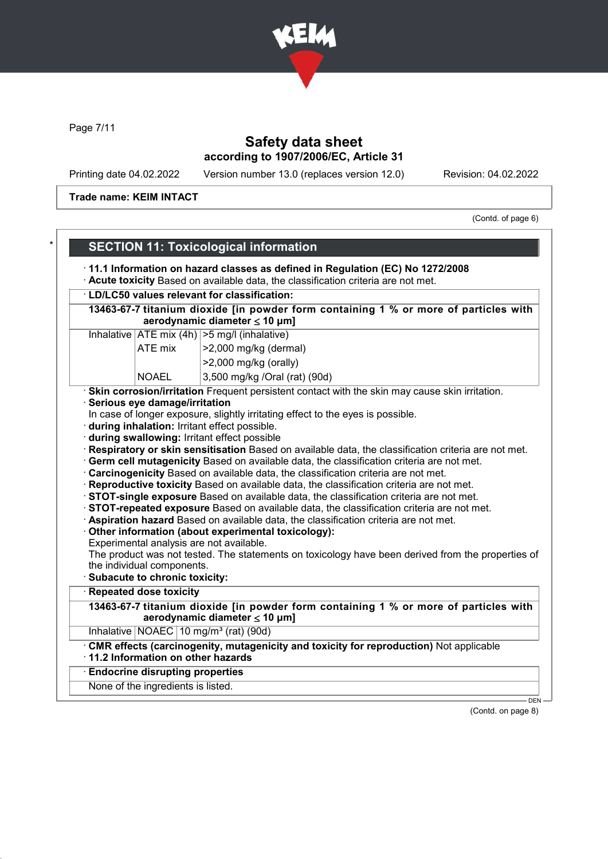

Page 7/11

# Safety data sheet according to 1907/2006/EC, Article 31

Printing date 04.02.2022 Version number 13.0 (replaces version 12.0) Revision: 04.02.2022

Trade name: KEIM INTACT

(Contd. of page 6)

|                                                                                                                                   | <b>SECTION 11: Toxicological information</b>                                                                                                       |  |  |  |
|-----------------------------------------------------------------------------------------------------------------------------------|----------------------------------------------------------------------------------------------------------------------------------------------------|--|--|--|
|                                                                                                                                   | 11.1 Information on hazard classes as defined in Regulation (EC) No 1272/2008                                                                      |  |  |  |
| Acute toxicity Based on available data, the classification criteria are not met.<br>· LD/LC50 values relevant for classification: |                                                                                                                                                    |  |  |  |
|                                                                                                                                   |                                                                                                                                                    |  |  |  |
| 13463-67-7 titanium dioxide [in powder form containing 1 % or more of particles with<br>aerodynamic diameter $\leq$ 10 µm]        |                                                                                                                                                    |  |  |  |
|                                                                                                                                   | Inhalative $ ATE \text{ mix } (4h)   > 5 \text{ mg/l } (inhalative)$                                                                               |  |  |  |
| ATE mix                                                                                                                           | >2,000 mg/kg (dermal)                                                                                                                              |  |  |  |
|                                                                                                                                   | >2,000 mg/kg (orally)                                                                                                                              |  |  |  |
| <b>NOAEL</b>                                                                                                                      | 3,500 mg/kg /Oral (rat) (90d)                                                                                                                      |  |  |  |
|                                                                                                                                   | · Skin corrosion/irritation Frequent persistent contact with the skin may cause skin irritation.                                                   |  |  |  |
| Serious eye damage/irritation                                                                                                     |                                                                                                                                                    |  |  |  |
|                                                                                                                                   | In case of longer exposure, slightly irritating effect to the eyes is possible.                                                                    |  |  |  |
|                                                                                                                                   | · during inhalation: Irritant effect possible.                                                                                                     |  |  |  |
|                                                                                                                                   | during swallowing: Irritant effect possible<br>Respiratory or skin sensitisation Based on available data, the classification criteria are not met. |  |  |  |
|                                                                                                                                   | . Germ cell mutagenicity Based on available data, the classification criteria are not met.                                                         |  |  |  |
|                                                                                                                                   | Carcinogenicity Based on available data, the classification criteria are not met.                                                                  |  |  |  |
| · Reproductive toxicity Based on available data, the classification criteria are not met.                                         |                                                                                                                                                    |  |  |  |
|                                                                                                                                   | STOT-single exposure Based on available data, the classification criteria are not met.                                                             |  |  |  |
|                                                                                                                                   | STOT-repeated exposure Based on available data, the classification criteria are not met.                                                           |  |  |  |
|                                                                                                                                   | · Aspiration hazard Based on available data, the classification criteria are not met.                                                              |  |  |  |
|                                                                                                                                   | Other information (about experimental toxicology):                                                                                                 |  |  |  |
|                                                                                                                                   | Experimental analysis are not available.                                                                                                           |  |  |  |
|                                                                                                                                   | The product was not tested. The statements on toxicology have been derived from the properties of                                                  |  |  |  |
| the individual components.<br>Subacute to chronic toxicity:                                                                       |                                                                                                                                                    |  |  |  |
| <b>Repeated dose toxicity</b>                                                                                                     |                                                                                                                                                    |  |  |  |
|                                                                                                                                   | 13463-67-7 titanium dioxide [in powder form containing 1 % or more of particles with                                                               |  |  |  |
|                                                                                                                                   | aerodynamic diameter $\leq 10 \mu m$ ]                                                                                                             |  |  |  |
|                                                                                                                                   | Inhalative   NOAEC   10 mg/m <sup>3</sup> (rat) (90d)                                                                                              |  |  |  |
| 11.2 Information on other hazards                                                                                                 | . CMR effects (carcinogenity, mutagenicity and toxicity for reproduction) Not applicable                                                           |  |  |  |
| <b>Endocrine disrupting properties</b>                                                                                            |                                                                                                                                                    |  |  |  |
| None of the ingredients is listed.                                                                                                |                                                                                                                                                    |  |  |  |
|                                                                                                                                   | $DEN -$                                                                                                                                            |  |  |  |

(Contd. on page 8)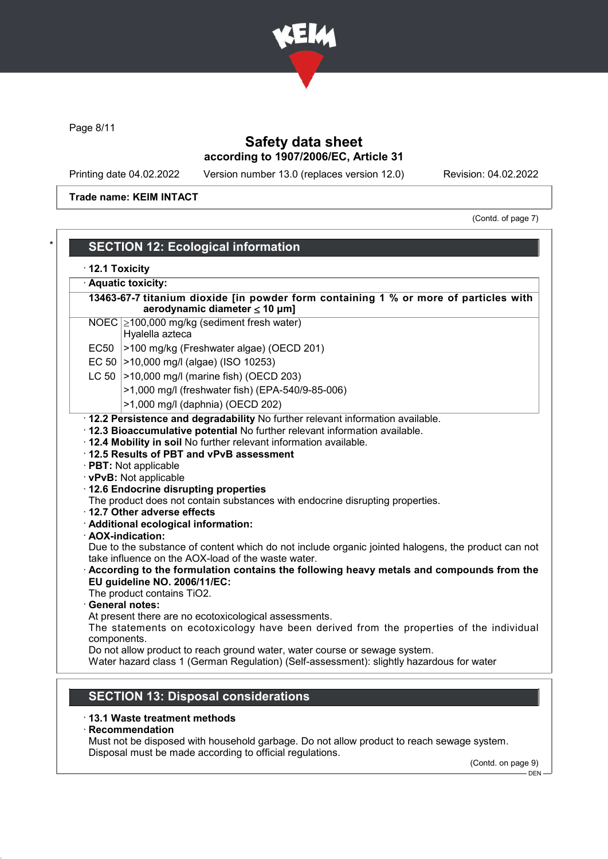

Page 8/11

# Safety data sheet according to 1907/2006/EC, Article 31

Printing date 04.02.2022 Version number 13.0 (replaces version 12.0) Revision: 04.02.2022

Trade name: KEIM INTACT

(Contd. of page 7)

|             | · Aquatic toxicity:                                                                                                                                                                                                                                                                                                                                                        |
|-------------|----------------------------------------------------------------------------------------------------------------------------------------------------------------------------------------------------------------------------------------------------------------------------------------------------------------------------------------------------------------------------|
|             | 13463-67-7 titanium dioxide [in powder form containing 1 % or more of particles with<br>aerodynamic diameter $\leq 10$ µm]                                                                                                                                                                                                                                                 |
|             | NOEC 2100,000 mg/kg (sediment fresh water)<br>Hyalella azteca                                                                                                                                                                                                                                                                                                              |
|             | EC50 >100 mg/kg (Freshwater algae) (OECD 201)                                                                                                                                                                                                                                                                                                                              |
|             | EC 50   > 10,000 mg/l (algae) (ISO 10253)                                                                                                                                                                                                                                                                                                                                  |
|             | LC 50   > 10,000 mg/l (marine fish) (OECD 203)                                                                                                                                                                                                                                                                                                                             |
|             | >1,000 mg/l (freshwater fish) (EPA-540/9-85-006)                                                                                                                                                                                                                                                                                                                           |
|             | >1,000 mg/l (daphnia) (OECD 202)                                                                                                                                                                                                                                                                                                                                           |
|             | · 12.3 Bioaccumulative potential No further relevant information available.<br>. 12.4 Mobility in soil No further relevant information available.<br>12.5 Results of PBT and vPvB assessment<br>· PBT: Not applicable<br>· vPvB: Not applicable<br>· 12.6 Endocrine disrupting properties<br>The product does not contain substances with endocrine disrupting properties. |
|             | 12.7 Other adverse effects<br>· Additional ecological information:<br>· AOX-indication:<br>Due to the substance of content which do not include organic jointed halogens, the product can not                                                                                                                                                                              |
|             | take influence on the AOX-load of the waste water.<br>According to the formulation contains the following heavy metals and compounds from the<br>EU guideline NO. 2006/11/EC:                                                                                                                                                                                              |
|             | The product contains TiO2.                                                                                                                                                                                                                                                                                                                                                 |
|             | · General notes:                                                                                                                                                                                                                                                                                                                                                           |
| components. | At present there are no ecotoxicological assessments.<br>The statements on ecotoxicology have been derived from the properties of the individual<br>Do not allow product to reach ground water, water course or sewage system.                                                                                                                                             |

## SECTION 13: Disposal considerations

### · 13.1 Waste treatment methods

· Recommendation

Must not be disposed with household garbage. Do not allow product to reach sewage system. Disposal must be made according to official regulations.

(Contd. on page 9)

 $-$  DEN  $-$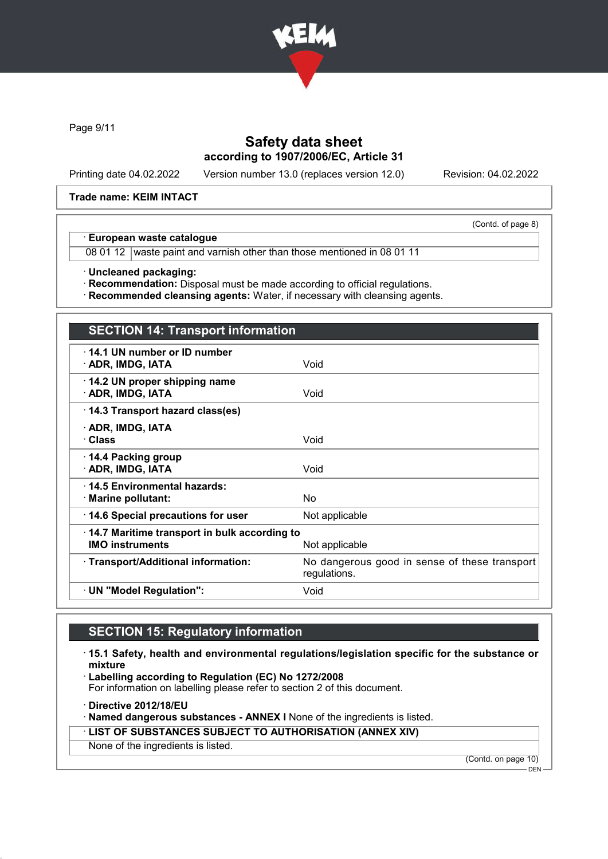

Page 9/11

## Safety data sheet according to 1907/2006/EC, Article 31

Printing date 04.02.2022 Version number 13.0 (replaces version 12.0) Revision: 04.02.2022

(Contd. of page 8)

#### Trade name: KEIM INTACT

#### · European waste catalogue

08 01 12 waste paint and varnish other than those mentioned in 08 01 11

· Uncleaned packaging:

· Recommendation: Disposal must be made according to official regulations.

· Recommended cleansing agents: Water, if necessary with cleansing agents.

# SECTION 14: Transport information

| 14.1 UN number or ID number<br>· ADR, IMDG, IATA                       | Void                                                          |
|------------------------------------------------------------------------|---------------------------------------------------------------|
| $\cdot$ 14.2 UN proper shipping name<br>· ADR, IMDG, IATA              | Void                                                          |
| 14.3 Transport hazard class(es)                                        |                                                               |
| · ADR, IMDG, IATA<br>· Class                                           | Void                                                          |
| $\cdot$ 14.4 Packing group<br>· ADR, IMDG, IATA                        | Void                                                          |
| ⋅14.5 Environmental hazards:<br>$\cdot$ Marine pollutant:              | <b>No</b>                                                     |
| 14.6 Special precautions for user                                      | Not applicable                                                |
| 14.7 Maritime transport in bulk according to<br><b>IMO instruments</b> | Not applicable                                                |
| · Transport/Additional information:                                    | No dangerous good in sense of these transport<br>regulations. |
| · UN "Model Regulation":                                               | Void                                                          |
|                                                                        |                                                               |

## SECTION 15: Regulatory information

· 15.1 Safety, health and environmental regulations/legislation specific for the substance or mixture

· Labelling according to Regulation (EC) No 1272/2008

For information on labelling please refer to section 2 of this document.

· Directive 2012/18/EU

· Named dangerous substances - ANNEX I None of the ingredients is listed.

· LIST OF SUBSTANCES SUBJECT TO AUTHORISATION (ANNEX XIV)

None of the ingredients is listed.

(Contd. on page 10)

DEN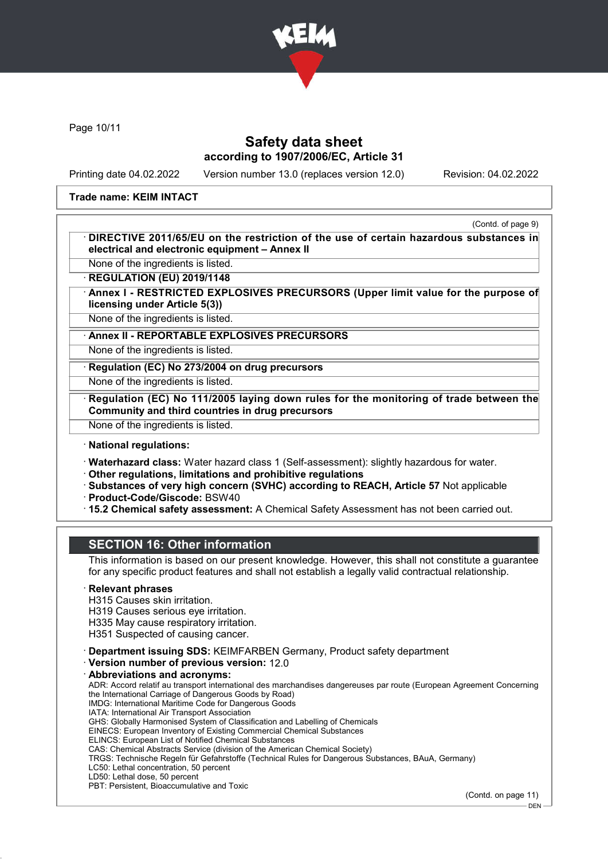

Page 10/11

## Safety data sheet according to 1907/2006/EC, Article 31

Printing date 04.02.2022 Version number 13.0 (replaces version 12.0) Revision: 04.02.2022

### Trade name: KEIM INTACT

(Contd. of page 9)

DIRECTIVE 2011/65/EU on the restriction of the use of certain hazardous substances in electrical and electronic equipment – Annex II

None of the ingredients is listed. **REGULATION (EU) 2019/1148** 

Annex I - RESTRICTED EXPLOSIVES PRECURSORS (Upper limit value for the purpose of licensing under Article 5(3))

None of the ingredients is listed.

Annex II - REPORTABLE EXPLOSIVES PRECURSORS

None of the ingredients is listed.

Regulation (EC) No 273/2004 on drug precursors

None of the ingredients is listed.

Regulation (EC) No 111/2005 laying down rules for the monitoring of trade between the Community and third countries in drug precursors

None of the ingredients is listed.

### · National regulations:

· Waterhazard class: Water hazard class 1 (Self-assessment): slightly hazardous for water.

· Other regulations, limitations and prohibitive regulations

· Substances of very high concern (SVHC) according to REACH, Article 57 Not applicable

- · Product-Code/Giscode: BSW40
- · 15.2 Chemical safety assessment: A Chemical Safety Assessment has not been carried out.

## SECTION 16: Other information

This information is based on our present knowledge. However, this shall not constitute a guarantee for any specific product features and shall not establish a legally valid contractual relationship.

### **Relevant phrases**

H315 Causes skin irritation.

H319 Causes serious eye irritation.

H335 May cause respiratory irritation.

H351 Suspected of causing cancer.

· Department issuing SDS: KEIMFARBEN Germany, Product safety department

· Version number of previous version: 12.0

Abbreviations and acronyms:

ADR: Accord relatif au transport international des marchandises dangereuses par route (European Agreement Concerning the International Carriage of Dangerous Goods by Road) IMDG: International Maritime Code for Dangerous Goods IATA: International Air Transport Association GHS: Globally Harmonised System of Classification and Labelling of Chemicals EINECS: European Inventory of Existing Commercial Chemical Substances ELINCS: European List of Notified Chemical Substances

CAS: Chemical Abstracts Service (division of the American Chemical Society)

TRGS: Technische Regeln für Gefahrstoffe (Technical Rules for Dangerous Substances, BAuA, Germany)

LC50: Lethal concentration, 50 percent

LD50: Lethal dose, 50 percent

PBT: Persistent, Bioaccumulative and Toxic

(Contd. on page 11)